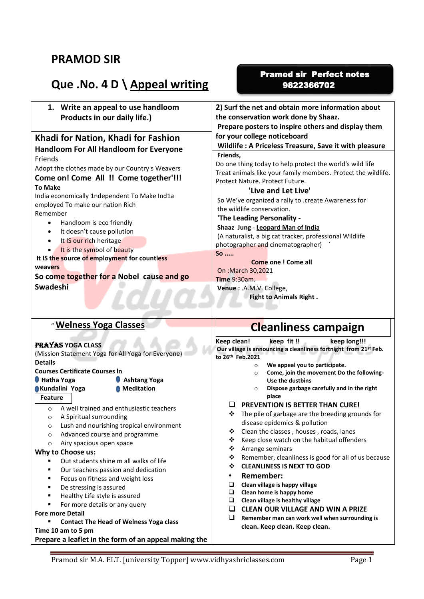## **PRAMOD SIR**

# **Que .No. 4 D \ Appeal writing**

### Pramod sir Perfect notes 9822366702

| 1. Write an appeal to use handloom                                  | 2) Surf the net and obtain more information about                                                              |
|---------------------------------------------------------------------|----------------------------------------------------------------------------------------------------------------|
| Products in our daily life.)                                        | the conservation work done by Shaaz.                                                                           |
|                                                                     | Prepare posters to inspire others and display them                                                             |
| Khadi for Nation, Khadi for Fashion                                 | for your college noticeboard                                                                                   |
| <b>Handloom For All Handloom for Everyone</b>                       | Wildlife: A Priceless Treasure, Save it with pleasure                                                          |
| Friends                                                             | Friends,                                                                                                       |
|                                                                     | Do one thing today to help protect the world's wild life                                                       |
| Adopt the clothes made by our Country s Weavers                     | Treat animals like your family members. Protect the wildlife.                                                  |
| Come on! Come All !! Come together'!!!                              | Protect Nature. Protect Future.                                                                                |
| <b>To Make</b>                                                      | 'Live and Let Live'                                                                                            |
| India economically 1ndependent To Make Ind1a                        | So We've organized a rally to .create Awareness for                                                            |
| employed To make our nation Rich                                    | the wildlife conservation.                                                                                     |
| Remember                                                            | 'The Leading Personality -                                                                                     |
| Handloom is eco friendly<br>$\bullet$                               | Shaaz Jung - Leopard Man of India                                                                              |
| It doesn't cause pollution<br>٠                                     | (A naturalist, a big cat tracker, professional Wildlife                                                        |
| It IS our rich heritage<br>$\bullet$                                | photographer and cinematographer)                                                                              |
| It is the symbol of beauty                                          | So                                                                                                             |
| It IS the source of employment for countless                        | <b>Come one ! Come all</b>                                                                                     |
| weavers                                                             | On : March 30,2021                                                                                             |
| So come together for a Nobel cause and go                           | <b>Time 9:30am.</b>                                                                                            |
| <b>Swadeshi</b>                                                     | Venue: .A.M.V. College,                                                                                        |
|                                                                     | <b>Fight to Animals Right.</b>                                                                                 |
|                                                                     |                                                                                                                |
|                                                                     |                                                                                                                |
|                                                                     |                                                                                                                |
| " Welness Yoga Classes                                              | <b>Cleanliness campaign</b>                                                                                    |
|                                                                     |                                                                                                                |
| <b>PRAYAS YOGA CLASS</b>                                            | Keep clean!<br>keep fit !!<br>keep long!!!<br>Our village is announcing a cleanliness fortnight from 21st Feb. |
| (Mission Statement Yoga for All Yoga for Everyone)                  | to 26th Feb.2021                                                                                               |
| <b>Details</b>                                                      | We appeal you to participate.<br>$\circ$                                                                       |
| <b>Courses Certificate Courses In</b>                               | Come, join the movement Do the following-<br>$\circ$                                                           |
| Hatha Yoga<br><b>Ashtang Yoga</b>                                   | Use the dustbins                                                                                               |
| <b>Meditation</b><br>Kundalini Yoga                                 | Dispose garbage carefully and in the right<br>$\circ$                                                          |
| <b>Feature</b>                                                      | place                                                                                                          |
| A well trained and enthusiastic teachers<br>$\circ$                 | <b>PREVENTION IS BETTER THAN CURE!</b><br>❖                                                                    |
| A Spiritual surrounding                                             | The pile of garbage are the breeding grounds for                                                               |
| Lush and nourishing tropical environment<br>O                       | disease epidemics & pollution<br>❖                                                                             |
| Advanced course and programme<br>O                                  | Clean the classes, houses, roads, lanes<br>❖                                                                   |
| Airy spacious open space<br>O                                       | Keep close watch on the habitual offenders<br>❖<br>Arrange seminars                                            |
| Why to Choose us:                                                   | Remember, cleanliness is good for all of us because<br>❖                                                       |
| Out students shine m all walks of life                              | <b>CLEANLINESS IS NEXT TO GOD</b><br>❖                                                                         |
| Our teachers passion and dedication<br>٠                            | <b>Remember:</b><br>$\bullet$                                                                                  |
| Focus on fitness and weight loss<br>п                               | Q                                                                                                              |
| De stressing is assured<br>Е<br>Е                                   | Clean village is happy village<br>Clean home is happy home<br>Q                                                |
| Healthy Life style is assured                                       | Clean village is healthy village<br>o                                                                          |
| For more details or any query                                       | <b>CLEAN OUR VILLAGE AND WIN A PRIZE</b><br>⊔                                                                  |
| <b>Fore more Detail</b>                                             | ⊔<br>Remember man can work well when surrounding is                                                            |
| <b>Contact The Head of Welness Yoga class</b><br>Time 10 am to 5 pm | clean. Keep clean. Keep clean.                                                                                 |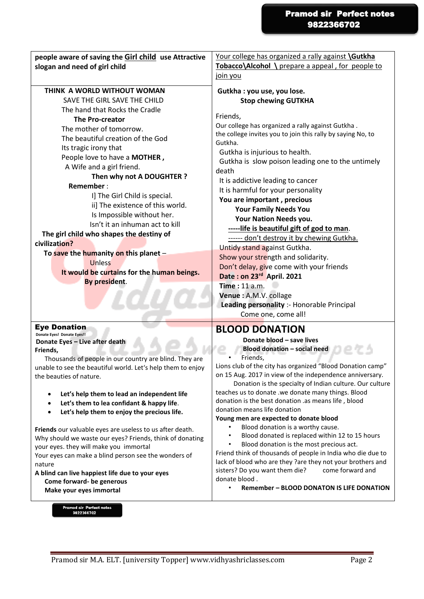| people aware of saving the Girl child use Attractive        | Your college has organized a rally against <b>\Gutkha</b>              |
|-------------------------------------------------------------|------------------------------------------------------------------------|
| slogan and need of girl child                               | Tobacco\Alcohol \ prepare a appeal, for people to                      |
|                                                             | join you                                                               |
|                                                             |                                                                        |
| THINK A WORLD WITHOUT WOMAN                                 | Gutkha : you use, you lose.                                            |
| SAVE THE GIRL SAVE THE CHILD                                | <b>Stop chewing GUTKHA</b>                                             |
| The hand that Rocks the Cradle                              | Friends,                                                               |
| <b>The Pro-creator</b>                                      |                                                                        |
| The mother of tomorrow.                                     | Our college has organized a rally against Gutkha.                      |
| The beautiful creation of the God                           | the college invites you to join this rally by saying No, to<br>Gutkha. |
| Its tragic irony that                                       |                                                                        |
| People love to have a MOTHER,                               | Gutkha is injurious to health.                                         |
| A Wife and a girl friend.                                   | Gutkha is slow poison leading one to the untimely                      |
| Then why not A DOUGHTER ?                                   | death                                                                  |
| Remember:                                                   | It is addictive leading to cancer                                      |
| I] The Girl Child is special.                               | It is harmful for your personality                                     |
| ii] The existence of this world.                            | You are important, precious                                            |
|                                                             | <b>Your Family Needs You</b>                                           |
| Is Impossible without her.                                  | Your Nation Needs you.                                                 |
| Isn't it an inhuman act to kill                             | -----life is beautiful gift of god to man.                             |
| The girl child who shapes the destiny of                    | ------ don't destroy it by chewing Gutkha.                             |
| civilization?                                               | Untidy stand against Gutkha.                                           |
| To save the humanity on this planet -                       | Show your strength and solidarity.                                     |
| <b>Unless</b>                                               | Don't delay, give come with your friends                               |
| It would be curtains for the human beings.                  | Date: on 23rd April. 2021                                              |
| By president.                                               | <b>Time: 11 a.m.</b>                                                   |
|                                                             | Venue : A.M.V. collage                                                 |
|                                                             | Leading personality :- Honorable Principal                             |
|                                                             |                                                                        |
|                                                             | Come one, come all!                                                    |
| <b>Eye Donation</b>                                         | <b>BLOOD DONATION</b>                                                  |
| Donate Eyes! Donate Eyes!!                                  | Donate blood - save lives                                              |
| Donate Eyes - Live after death<br>Friends,                  | <b>Blood donation - social need</b>                                    |
| Thousands of people in our country are blind. They are      | Friends,                                                               |
| unable to see the beautiful world. Let's help them to enjoy | Lions club of the city has organized "Blood Donation camp"             |
| the beauties of nature.                                     | on 15 Aug. 2017 in view of the independence anniversary.               |
|                                                             | Donation is the specialty of Indian culture. Our culture               |
| Let's help them to lead an independent life<br>$\bullet$    | teaches us to donate .we donate many things. Blood                     |
| Let's them to lea confidant & happy life.<br>$\bullet$      | donation is the best donation .as means life, blood                    |
| Let's help them to enjoy the precious life.<br>$\bullet$    | donation means life donation                                           |
|                                                             | Young men are expected to donate blood                                 |
| Friends our valuable eyes are useless to us after death.    | Blood donation is a worthy cause.                                      |
| Why should we waste our eyes? Friends, think of donating    | Blood donated is replaced within 12 to 15 hours                        |
| your eyes. they will make you immortal                      | Blood donation is the most precious act.                               |
| Your eyes can make a blind person see the wonders of        | Friend think of thousands of people in India who die due to            |
| nature                                                      | lack of blood who are they ?are they not your brothers and             |
| A blind can live happiest life due to your eyes             | come forward and<br>sisters? Do you want them die?                     |
| Come forward- be generous                                   | donate blood.                                                          |
| Make your eyes immortal                                     | <b>Remember - BLOOD DONATON IS LIFE DONATION</b><br>$\bullet$          |
|                                                             |                                                                        |

Pramod sir Perfect notes<br>9822366702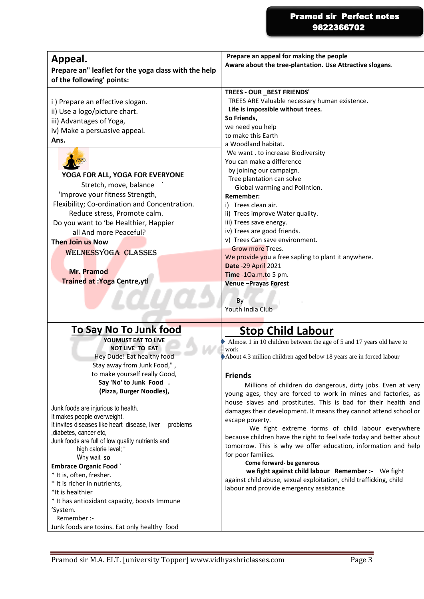#### Pramod sir Perfect notes 9822366702

| Appeal.                                              | Prepare an appeal for making the people                  |
|------------------------------------------------------|----------------------------------------------------------|
| Prepare an" leaflet for the yoga class with the help | Aware about the tree-plantation. Use Attractive slogans. |
|                                                      |                                                          |
| of the following' points:                            |                                                          |
|                                                      | TREES - OUR _BEST FRIENDS'                               |
| i) Prepare an effective slogan.                      | TREES ARE Valuable necessary human existence.            |
| ii) Use a logo/picture chart.                        | Life is impossible without trees.                        |
| iii) Advantages of Yoga,                             | So Friends,                                              |
| iv) Make a persuasive appeal.                        | we need you help                                         |
| Ans.                                                 | to make this Earth                                       |
|                                                      | a Woodland habitat.                                      |
|                                                      | We want . to increase Biodiversity                       |
|                                                      | You can make a difference                                |
| YOGA FOR ALL, YOGA FOR EVERYONE                      | by joining our campaign.                                 |
|                                                      | Tree plantation can solve                                |
| Stretch, move, balance                               | Global warming and Pollntion.                            |
| 'Improve your fitness Strength,                      | <b>Remember:</b>                                         |
| Flexibility; Co-ordination and Concentration.        | i) Trees clean air.                                      |
| Reduce stress, Promote calm.                         | ii) Trees improve Water quality.                         |
| Do you want to 'be Healthier, Happier                | iii) Trees save energy.                                  |
| all And more Peaceful?                               | iv) Trees are good friends.                              |
| <b>Then Join us Now</b>                              | v) Trees Can save environment.                           |
| <b>WELNESSYOGA CLASSES</b>                           | Grow more Trees.                                         |
|                                                      | We provide you a free sapling to plant it anywhere.      |
| Mr. Pramod                                           | <b>Date -29 April 2021</b>                               |
|                                                      | Time -10a.m.to 5 pm.                                     |
| <b>Trained at : Yoga Centre, ytl</b>                 | <b>Venue-Prayas Forest</b>                               |
|                                                      |                                                          |
|                                                      | By                                                       |
|                                                      | Youth India Club                                         |
|                                                      |                                                          |

### **To Say No To Junk food**

**YOUMUST EAT TO LlVE NOT LIVE TO EAT** Hey Dude! Eat healthy food Stay away from Junk Food," , to make yourself really Good, **Say 'No' to Junk Food . (Pizza, Burger Noodles),**

Junk foods are injurious to health. It makes people overweight. It invites diseases like heart disease, liver problems ,diabetes, cancer etc, Junk foods are full of low quality nutrients and high calorie level; " Why wait **so Embrace Organic Food `** \* It is, often, fresher.

- \* It is richer in nutrients,
- \*It is healthier
- \* It has antioxidant capacity, boosts Immune
- 'System.
- Remember :-
- Junk foods are toxins. Eat only healthy food

### **Stop Child Labour**

Almost 1 in 10 children between the age of 5 and 17 years old have to work

About 4.3 million children aged below 18 years are in forced labour

#### **Friends**

 Millions of children do dangerous, dirty jobs. Even at very young ages, they are forced to work in mines and factories, as house slaves and prostitutes. This is bad for their health and damages their development. It means they cannot attend school or escape poverty.

 We fight extreme forms of child labour everywhere because children have the right to feel safe today and better about tomorrow. This is why we offer education, information and help for poor families.

#### **Come forward- be generous**

 **we fight against child labour Remember :-** We fight against child abuse, sexual exploitation, child trafficking, child labour and provide emergency assistance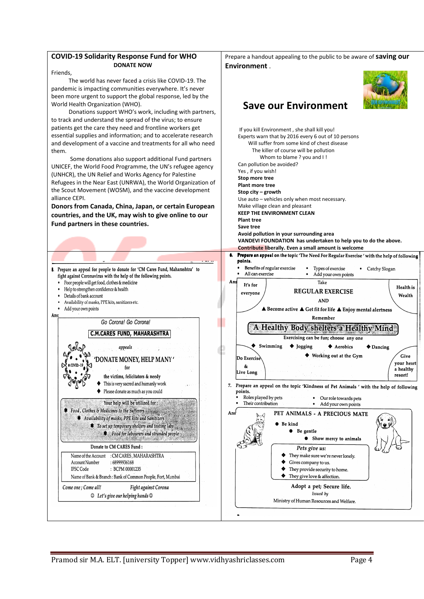